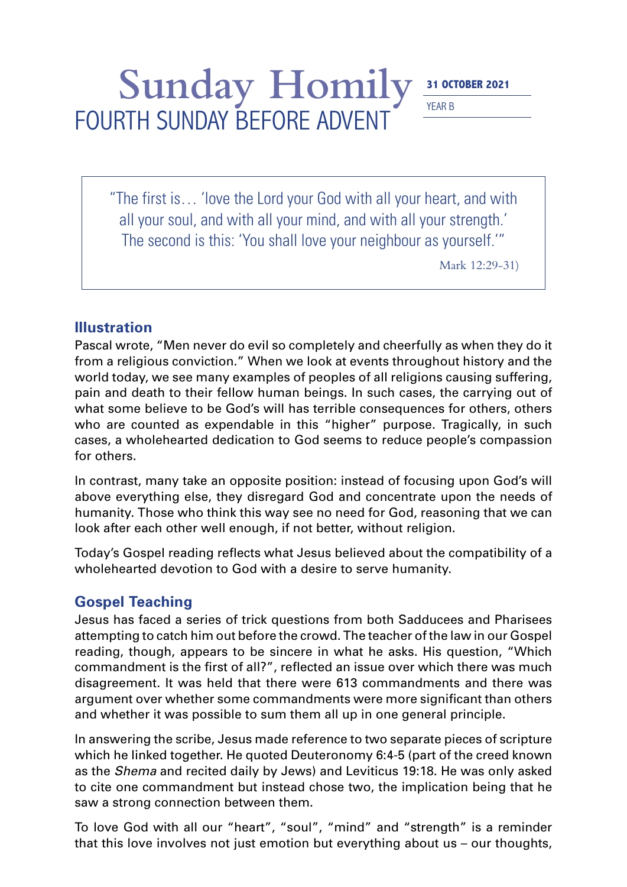## Sunday Homily 31 OCTOBER 2021 YEAR B FOURTH SUNDAY BEFORE ADVENT

"The first is… 'love the Lord your God with all your heart, and with all your soul, and with all your mind, and with all your strength.' The second is this: 'You shall love your neighbour as yourself.'"

Mark 12:29-31)

## **Illustration**

Pascal wrote, "Men never do evil so completely and cheerfully as when they do it from a religious conviction." When we look at events throughout history and the world today, we see many examples of peoples of all religions causing suffering, pain and death to their fellow human beings. In such cases, the carrying out of what some believe to be God's will has terrible consequences for others, others who are counted as expendable in this "higher" purpose. Tragically, in such cases, a wholehearted dedication to God seems to reduce people's compassion for others.

In contrast, many take an opposite position: instead of focusing upon God's will above everything else, they disregard God and concentrate upon the needs of humanity. Those who think this way see no need for God, reasoning that we can look after each other well enough, if not better, without religion.

Today's Gospel reading reflects what Jesus believed about the compatibility of a wholehearted devotion to God with a desire to serve humanity.

## **Gospel Teaching**

Jesus has faced a series of trick questions from both Sadducees and Pharisees attempting to catch him out before the crowd. The teacher of the law in our Gospel reading, though, appears to be sincere in what he asks. His question, "Which commandment is the first of all?", reflected an issue over which there was much disagreement. It was held that there were 613 commandments and there was argument over whether some commandments were more significant than others and whether it was possible to sum them all up in one general principle.

In answering the scribe, Jesus made reference to two separate pieces of scripture which he linked together. He quoted Deuteronomy 6:4-5 (part of the creed known as the *Shema* and recited daily by Jews) and Leviticus 19:18. He was only asked to cite one commandment but instead chose two, the implication being that he saw a strong connection between them.

To love God with all our "heart", "soul", "mind" and "strength" is a reminder that this love involves not just emotion but everything about us – our thoughts,